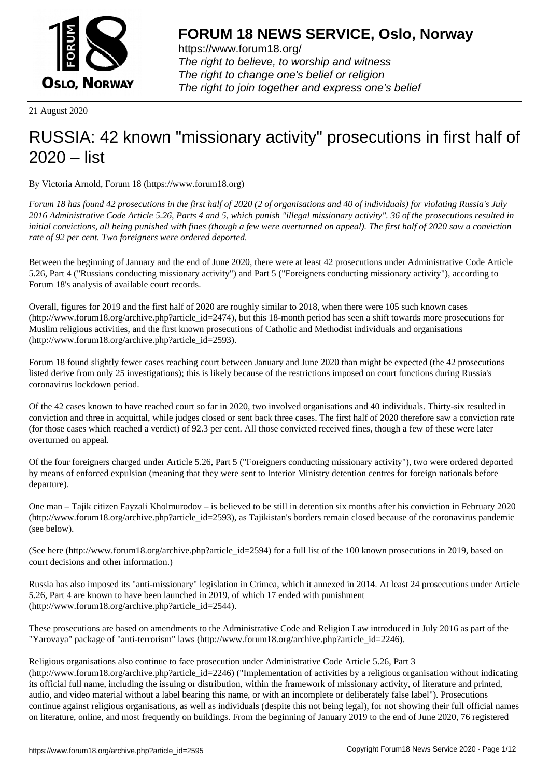

https://www.forum18.org/ The right to believe, to worship and witness The right to change one's belief or religion [The right to join together a](https://www.forum18.org/)nd express one's belief

21 August 2020

## [RUSSIA: 42 kno](https://www.forum18.org)wn "missionary activity" prosecutions in first half of 2020 – list

By Victoria Arnold, Forum 18 (https://www.forum18.org)

*Forum 18 has found 42 prosecutions in the first half of 2020 (2 of organisations and 40 of individuals) for violating Russia's July 2016 Administrative Code Article 5.26, Parts 4 and 5, which punish "illegal missionary activity". 36 of the prosecutions resulted in initial convictions, all being punished with fines (though a few were overturned on appeal). The first half of 2020 saw a conviction rate of 92 per cent. Two foreigners were ordered deported.*

Between the beginning of January and the end of June 2020, there were at least 42 prosecutions under Administrative Code Article 5.26, Part 4 ("Russians conducting missionary activity") and Part 5 ("Foreigners conducting missionary activity"), according to Forum 18's analysis of available court records.

Overall, figures for 2019 and the first half of 2020 are roughly similar to 2018, when there were 105 such known cases (http://www.forum18.org/archive.php?article\_id=2474), but this 18-month period has seen a shift towards more prosecutions for Muslim religious activities, and the first known prosecutions of Catholic and Methodist individuals and organisations (http://www.forum18.org/archive.php?article\_id=2593).

Forum 18 found slightly fewer cases reaching court between January and June 2020 than might be expected (the 42 prosecutions listed derive from only 25 investigations); this is likely because of the restrictions imposed on court functions during Russia's coronavirus lockdown period.

Of the 42 cases known to have reached court so far in 2020, two involved organisations and 40 individuals. Thirty-six resulted in conviction and three in acquittal, while judges closed or sent back three cases. The first half of 2020 therefore saw a conviction rate (for those cases which reached a verdict) of 92.3 per cent. All those convicted received fines, though a few of these were later overturned on appeal.

Of the four foreigners charged under Article 5.26, Part 5 ("Foreigners conducting missionary activity"), two were ordered deported by means of enforced expulsion (meaning that they were sent to Interior Ministry detention centres for foreign nationals before departure).

One man – Tajik citizen Fayzali Kholmurodov – is believed to be still in detention six months after his conviction in February 2020 (http://www.forum18.org/archive.php?article\_id=2593), as Tajikistan's borders remain closed because of the coronavirus pandemic (see below).

(See here (http://www.forum18.org/archive.php?article\_id=2594) for a full list of the 100 known prosecutions in 2019, based on court decisions and other information.)

Russia has also imposed its "anti-missionary" legislation in Crimea, which it annexed in 2014. At least 24 prosecutions under Article 5.26, Part 4 are known to have been launched in 2019, of which 17 ended with punishment (http://www.forum18.org/archive.php?article\_id=2544).

These prosecutions are based on amendments to the Administrative Code and Religion Law introduced in July 2016 as part of the "Yarovaya" package of "anti-terrorism" laws (http://www.forum18.org/archive.php?article\_id=2246).

Religious organisations also continue to face prosecution under Administrative Code Article 5.26, Part 3 (http://www.forum18.org/archive.php?article\_id=2246) ("Implementation of activities by a religious organisation without indicating its official full name, including the issuing or distribution, within the framework of missionary activity, of literature and printed, audio, and video material without a label bearing this name, or with an incomplete or deliberately false label"). Prosecutions continue against religious organisations, as well as individuals (despite this not being legal), for not showing their full official names on literature, online, and most frequently on buildings. From the beginning of January 2019 to the end of June 2020, 76 registered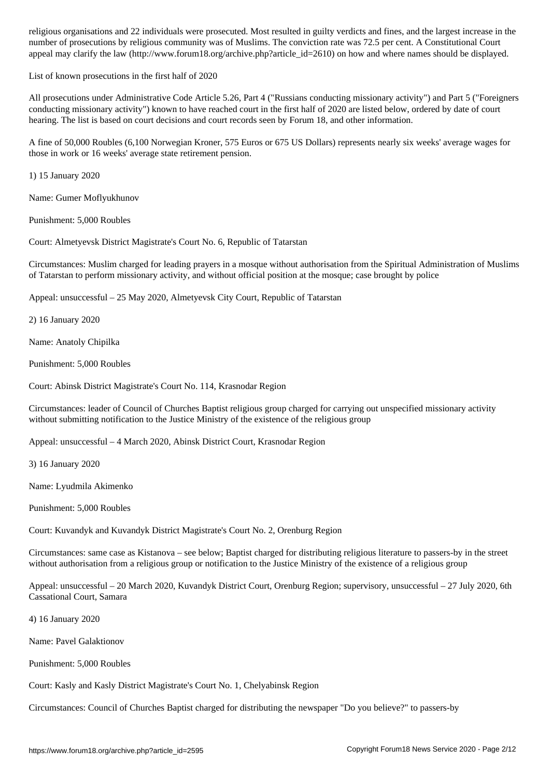number of prosecutions by religious community was of Muslims. The conviction rate was 72.5 per cent. A Constitutional Court appeal may clarify the law (http://www.forum18.org/archive.php?article\_id=2610) on how and where names should be displayed.

List of known prosecutions in the first half of 2020

All prosecutions under Administrative Code Article 5.26, Part 4 ("Russians conducting missionary activity") and Part 5 ("Foreigners conducting missionary activity") known to have reached court in the first half of 2020 are listed below, ordered by date of court hearing. The list is based on court decisions and court records seen by Forum 18, and other information.

A fine of 50,000 Roubles (6,100 Norwegian Kroner, 575 Euros or 675 US Dollars) represents nearly six weeks' average wages for those in work or 16 weeks' average state retirement pension.

1) 15 January 2020

Name: Gumer Moflyukhunov

Punishment: 5,000 Roubles

Court: Almetyevsk District Magistrate's Court No. 6, Republic of Tatarstan

Circumstances: Muslim charged for leading prayers in a mosque without authorisation from the Spiritual Administration of Muslims of Tatarstan to perform missionary activity, and without official position at the mosque; case brought by police

Appeal: unsuccessful – 25 May 2020, Almetyevsk City Court, Republic of Tatarstan

2) 16 January 2020

Name: Anatoly Chipilka

Punishment: 5,000 Roubles

Court: Abinsk District Magistrate's Court No. 114, Krasnodar Region

Circumstances: leader of Council of Churches Baptist religious group charged for carrying out unspecified missionary activity without submitting notification to the Justice Ministry of the existence of the religious group

Appeal: unsuccessful – 4 March 2020, Abinsk District Court, Krasnodar Region

3) 16 January 2020

Name: Lyudmila Akimenko

Punishment: 5,000 Roubles

Court: Kuvandyk and Kuvandyk District Magistrate's Court No. 2, Orenburg Region

Circumstances: same case as Kistanova – see below; Baptist charged for distributing religious literature to passers-by in the street without authorisation from a religious group or notification to the Justice Ministry of the existence of a religious group

Appeal: unsuccessful – 20 March 2020, Kuvandyk District Court, Orenburg Region; supervisory, unsuccessful – 27 July 2020, 6th Cassational Court, Samara

4) 16 January 2020

Name: Pavel Galaktionov

Punishment: 5,000 Roubles

Court: Kasly and Kasly District Magistrate's Court No. 1, Chelyabinsk Region

Circumstances: Council of Churches Baptist charged for distributing the newspaper "Do you believe?" to passers-by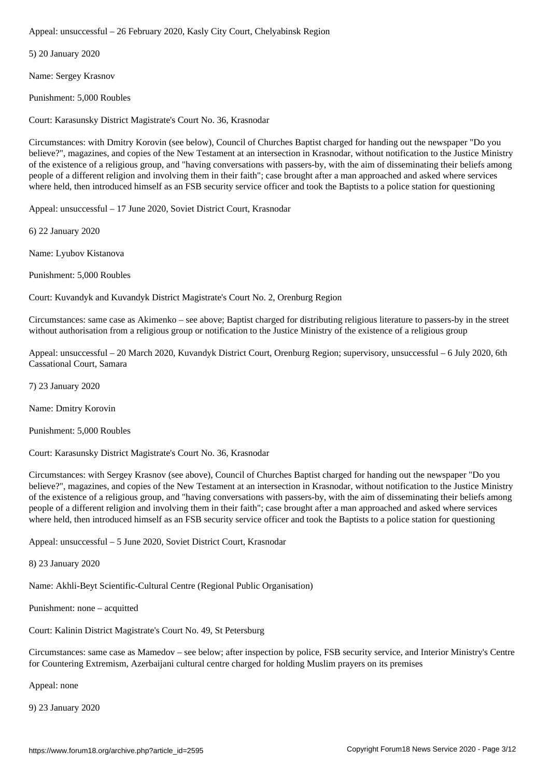5) 20 January 2020

Name: Sergey Krasnov

Punishment: 5,000 Roubles

Court: Karasunsky District Magistrate's Court No. 36, Krasnodar

Circumstances: with Dmitry Korovin (see below), Council of Churches Baptist charged for handing out the newspaper "Do you believe?", magazines, and copies of the New Testament at an intersection in Krasnodar, without notification to the Justice Ministry of the existence of a religious group, and "having conversations with passers-by, with the aim of disseminating their beliefs among people of a different religion and involving them in their faith"; case brought after a man approached and asked where services where held, then introduced himself as an FSB security service officer and took the Baptists to a police station for questioning

Appeal: unsuccessful – 17 June 2020, Soviet District Court, Krasnodar

6) 22 January 2020

Name: Lyubov Kistanova

Punishment: 5,000 Roubles

Court: Kuvandyk and Kuvandyk District Magistrate's Court No. 2, Orenburg Region

Circumstances: same case as Akimenko – see above; Baptist charged for distributing religious literature to passers-by in the street without authorisation from a religious group or notification to the Justice Ministry of the existence of a religious group

Appeal: unsuccessful – 20 March 2020, Kuvandyk District Court, Orenburg Region; supervisory, unsuccessful – 6 July 2020, 6th Cassational Court, Samara

7) 23 January 2020

Name: Dmitry Korovin

Punishment: 5,000 Roubles

Court: Karasunsky District Magistrate's Court No. 36, Krasnodar

Circumstances: with Sergey Krasnov (see above), Council of Churches Baptist charged for handing out the newspaper "Do you believe?", magazines, and copies of the New Testament at an intersection in Krasnodar, without notification to the Justice Ministry of the existence of a religious group, and "having conversations with passers-by, with the aim of disseminating their beliefs among people of a different religion and involving them in their faith"; case brought after a man approached and asked where services where held, then introduced himself as an FSB security service officer and took the Baptists to a police station for questioning

Appeal: unsuccessful – 5 June 2020, Soviet District Court, Krasnodar

8) 23 January 2020

Name: Akhli-Beyt Scientific-Cultural Centre (Regional Public Organisation)

Punishment: none – acquitted

Court: Kalinin District Magistrate's Court No. 49, St Petersburg

Circumstances: same case as Mamedov – see below; after inspection by police, FSB security service, and Interior Ministry's Centre for Countering Extremism, Azerbaijani cultural centre charged for holding Muslim prayers on its premises

Appeal: none

9) 23 January 2020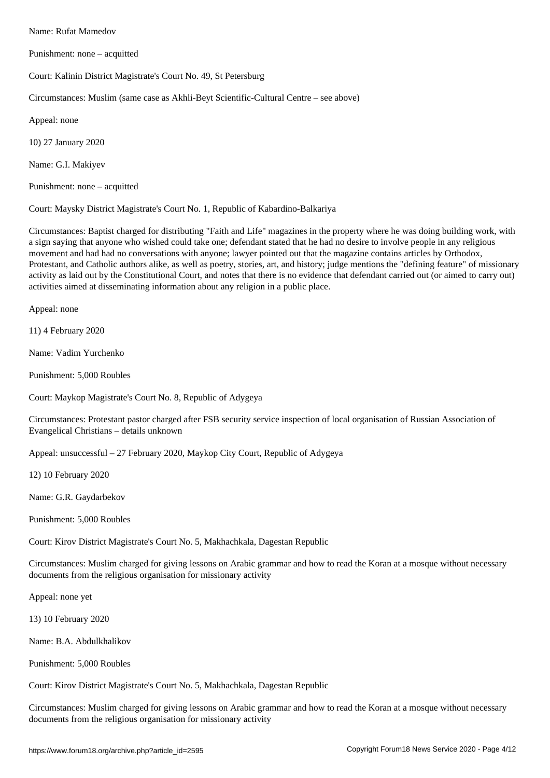Punishment: none – acquitted

Court: Kalinin District Magistrate's Court No. 49, St Petersburg

Circumstances: Muslim (same case as Akhli-Beyt Scientific-Cultural Centre – see above)

Appeal: none

10) 27 January 2020

Name: G.I. Makiyev

Punishment: none – acquitted

Court: Maysky District Magistrate's Court No. 1, Republic of Kabardino-Balkariya

Circumstances: Baptist charged for distributing "Faith and Life" magazines in the property where he was doing building work, with a sign saying that anyone who wished could take one; defendant stated that he had no desire to involve people in any religious movement and had had no conversations with anyone; lawyer pointed out that the magazine contains articles by Orthodox, Protestant, and Catholic authors alike, as well as poetry, stories, art, and history; judge mentions the "defining feature" of missionary activity as laid out by the Constitutional Court, and notes that there is no evidence that defendant carried out (or aimed to carry out) activities aimed at disseminating information about any religion in a public place.

Appeal: none

11) 4 February 2020

Name: Vadim Yurchenko

Punishment: 5,000 Roubles

Court: Maykop Magistrate's Court No. 8, Republic of Adygeya

Circumstances: Protestant pastor charged after FSB security service inspection of local organisation of Russian Association of Evangelical Christians – details unknown

Appeal: unsuccessful – 27 February 2020, Maykop City Court, Republic of Adygeya

12) 10 February 2020

Name: G.R. Gaydarbekov

Punishment: 5,000 Roubles

Court: Kirov District Magistrate's Court No. 5, Makhachkala, Dagestan Republic

Circumstances: Muslim charged for giving lessons on Arabic grammar and how to read the Koran at a mosque without necessary documents from the religious organisation for missionary activity

Appeal: none yet

13) 10 February 2020

Name: B.A. Abdulkhalikov

Punishment: 5,000 Roubles

Court: Kirov District Magistrate's Court No. 5, Makhachkala, Dagestan Republic

Circumstances: Muslim charged for giving lessons on Arabic grammar and how to read the Koran at a mosque without necessary documents from the religious organisation for missionary activity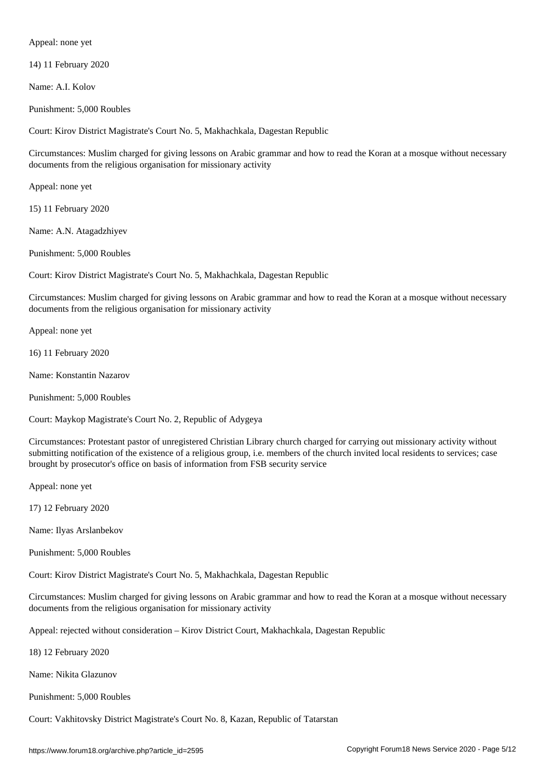Appeal: none yet

14) 11 February 2020

Name: A.I. Kolov

Punishment: 5,000 Roubles

Court: Kirov District Magistrate's Court No. 5, Makhachkala, Dagestan Republic

Circumstances: Muslim charged for giving lessons on Arabic grammar and how to read the Koran at a mosque without necessary documents from the religious organisation for missionary activity

Appeal: none yet

15) 11 February 2020

Name: A.N. Atagadzhiyev

Punishment: 5,000 Roubles

Court: Kirov District Magistrate's Court No. 5, Makhachkala, Dagestan Republic

Circumstances: Muslim charged for giving lessons on Arabic grammar and how to read the Koran at a mosque without necessary documents from the religious organisation for missionary activity

Appeal: none yet

16) 11 February 2020

Name: Konstantin Nazarov

Punishment: 5,000 Roubles

Court: Maykop Magistrate's Court No. 2, Republic of Adygeya

Circumstances: Protestant pastor of unregistered Christian Library church charged for carrying out missionary activity without submitting notification of the existence of a religious group, i.e. members of the church invited local residents to services; case brought by prosecutor's office on basis of information from FSB security service

Appeal: none yet

17) 12 February 2020

Name: Ilyas Arslanbekov

Punishment: 5,000 Roubles

Court: Kirov District Magistrate's Court No. 5, Makhachkala, Dagestan Republic

Circumstances: Muslim charged for giving lessons on Arabic grammar and how to read the Koran at a mosque without necessary documents from the religious organisation for missionary activity

Appeal: rejected without consideration – Kirov District Court, Makhachkala, Dagestan Republic

18) 12 February 2020

Name: Nikita Glazunov

Punishment: 5,000 Roubles

Court: Vakhitovsky District Magistrate's Court No. 8, Kazan, Republic of Tatarstan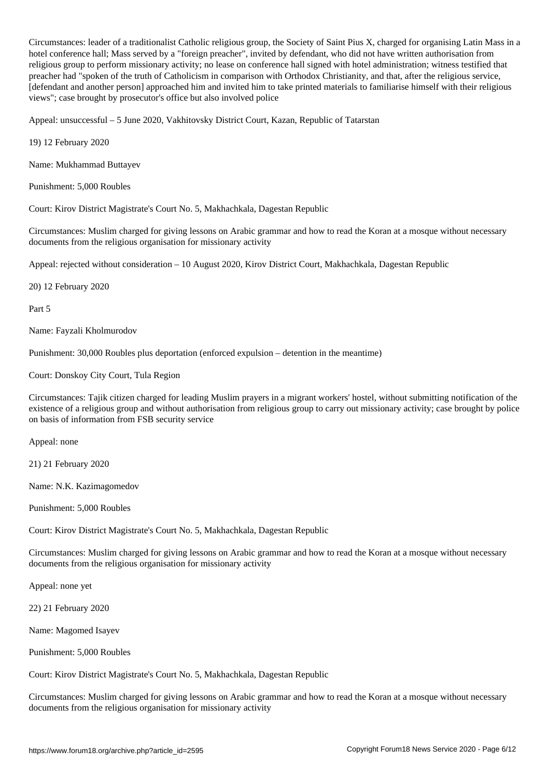Circumstances: leader of a traditionalist Catholic religious group, the Society of Saint Pius X, charged for organising Latin Mass in a hotel conference hall; Mass served by a "foreign preacher", invited by defendant, who did not have written authorisation from religious group to perform missionary activity; no lease on conference hall signed with hotel administration; witness testified that preacher had "spoken of the truth of Catholicism in comparison with Orthodox Christianity, and that, after the religious service, [defendant and another person] approached him and invited him to take printed materials to familiarise himself with their religious views"; case brought by prosecutor's office but also involved police

Appeal: unsuccessful – 5 June 2020, Vakhitovsky District Court, Kazan, Republic of Tatarstan

19) 12 February 2020

Name: Mukhammad Buttayev

Punishment: 5,000 Roubles

Court: Kirov District Magistrate's Court No. 5, Makhachkala, Dagestan Republic

Circumstances: Muslim charged for giving lessons on Arabic grammar and how to read the Koran at a mosque without necessary documents from the religious organisation for missionary activity

Appeal: rejected without consideration – 10 August 2020, Kirov District Court, Makhachkala, Dagestan Republic

20) 12 February 2020

Part 5

Name: Fayzali Kholmurodov

Punishment: 30,000 Roubles plus deportation (enforced expulsion – detention in the meantime)

Court: Donskoy City Court, Tula Region

Circumstances: Tajik citizen charged for leading Muslim prayers in a migrant workers' hostel, without submitting notification of the existence of a religious group and without authorisation from religious group to carry out missionary activity; case brought by police on basis of information from FSB security service

Appeal: none

21) 21 February 2020

Name: N.K. Kazimagomedov

Punishment: 5,000 Roubles

Court: Kirov District Magistrate's Court No. 5, Makhachkala, Dagestan Republic

Circumstances: Muslim charged for giving lessons on Arabic grammar and how to read the Koran at a mosque without necessary documents from the religious organisation for missionary activity

Appeal: none yet

22) 21 February 2020

Name: Magomed Isayev

Punishment: 5,000 Roubles

Court: Kirov District Magistrate's Court No. 5, Makhachkala, Dagestan Republic

Circumstances: Muslim charged for giving lessons on Arabic grammar and how to read the Koran at a mosque without necessary documents from the religious organisation for missionary activity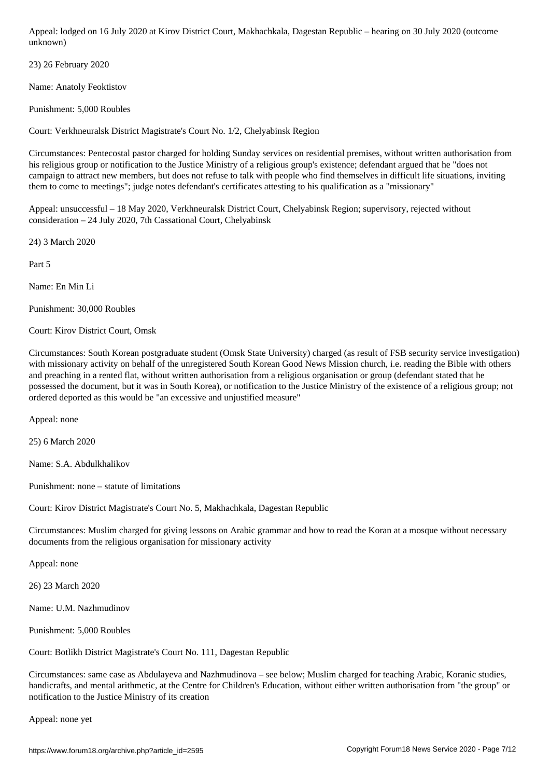23) 26 February 2020

unknown) – kuning kuning kuning kuning kuning kuning kuning kuning kuning kuning kuning kuning kuning kuning k

Name: Anatoly Feoktistov

Punishment: 5,000 Roubles

Court: Verkhneuralsk District Magistrate's Court No. 1/2, Chelyabinsk Region

Circumstances: Pentecostal pastor charged for holding Sunday services on residential premises, without written authorisation from his religious group or notification to the Justice Ministry of a religious group's existence; defendant argued that he "does not campaign to attract new members, but does not refuse to talk with people who find themselves in difficult life situations, inviting them to come to meetings"; judge notes defendant's certificates attesting to his qualification as a "missionary"

Appeal: unsuccessful – 18 May 2020, Verkhneuralsk District Court, Chelyabinsk Region; supervisory, rejected without consideration – 24 July 2020, 7th Cassational Court, Chelyabinsk

24) 3 March 2020

Part 5

Name: En Min Li

Punishment: 30,000 Roubles

Court: Kirov District Court, Omsk

Circumstances: South Korean postgraduate student (Omsk State University) charged (as result of FSB security service investigation) with missionary activity on behalf of the unregistered South Korean Good News Mission church, i.e. reading the Bible with others and preaching in a rented flat, without written authorisation from a religious organisation or group (defendant stated that he possessed the document, but it was in South Korea), or notification to the Justice Ministry of the existence of a religious group; not ordered deported as this would be "an excessive and unjustified measure"

Appeal: none

25) 6 March 2020

Name: S.A. Abdulkhalikov

Punishment: none – statute of limitations

Court: Kirov District Magistrate's Court No. 5, Makhachkala, Dagestan Republic

Circumstances: Muslim charged for giving lessons on Arabic grammar and how to read the Koran at a mosque without necessary documents from the religious organisation for missionary activity

Appeal: none

26) 23 March 2020

Name: U.M. Nazhmudinov

Punishment: 5,000 Roubles

Court: Botlikh District Magistrate's Court No. 111, Dagestan Republic

Circumstances: same case as Abdulayeva and Nazhmudinova – see below; Muslim charged for teaching Arabic, Koranic studies, handicrafts, and mental arithmetic, at the Centre for Children's Education, without either written authorisation from "the group" or notification to the Justice Ministry of its creation

Appeal: none yet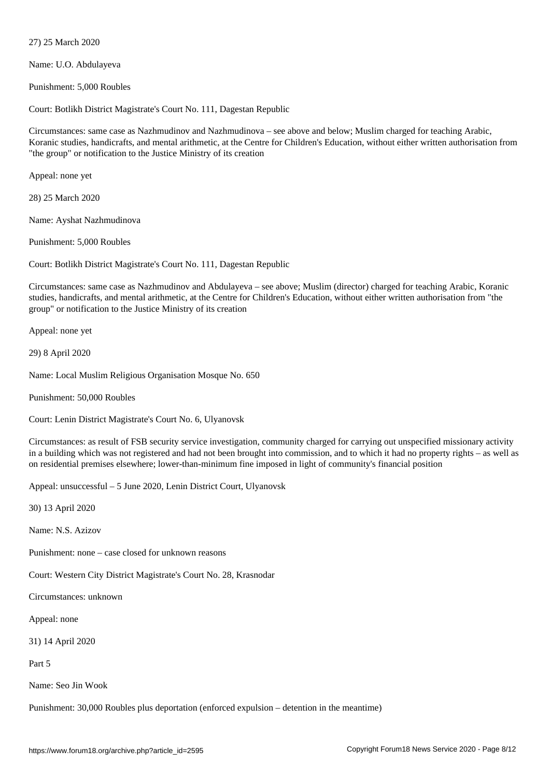Name: U.O. Abdulayeva

 $\mathcal{F}$ 

Punishment: 5,000 Roubles

Court: Botlikh District Magistrate's Court No. 111, Dagestan Republic

Circumstances: same case as Nazhmudinov and Nazhmudinova – see above and below; Muslim charged for teaching Arabic, Koranic studies, handicrafts, and mental arithmetic, at the Centre for Children's Education, without either written authorisation from "the group" or notification to the Justice Ministry of its creation

Appeal: none yet

28) 25 March 2020

Name: Ayshat Nazhmudinova

Punishment: 5,000 Roubles

Court: Botlikh District Magistrate's Court No. 111, Dagestan Republic

Circumstances: same case as Nazhmudinov and Abdulayeva – see above; Muslim (director) charged for teaching Arabic, Koranic studies, handicrafts, and mental arithmetic, at the Centre for Children's Education, without either written authorisation from "the group" or notification to the Justice Ministry of its creation

Appeal: none yet

29) 8 April 2020

Name: Local Muslim Religious Organisation Mosque No. 650

Punishment: 50,000 Roubles

Court: Lenin District Magistrate's Court No. 6, Ulyanovsk

Circumstances: as result of FSB security service investigation, community charged for carrying out unspecified missionary activity in a building which was not registered and had not been brought into commission, and to which it had no property rights – as well as on residential premises elsewhere; lower-than-minimum fine imposed in light of community's financial position

Appeal: unsuccessful – 5 June 2020, Lenin District Court, Ulyanovsk

30) 13 April 2020

Name: N.S. Azizov

Punishment: none – case closed for unknown reasons

Court: Western City District Magistrate's Court No. 28, Krasnodar

Circumstances: unknown

Appeal: none

31) 14 April 2020

Part 5

Name: Seo Jin Wook

Punishment: 30,000 Roubles plus deportation (enforced expulsion – detention in the meantime)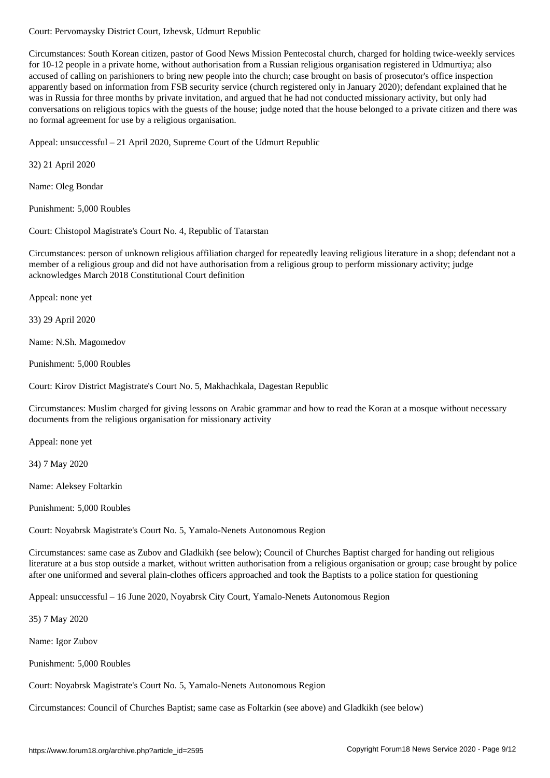Circumstances: South Korean citizen, pastor of Good News Mission Pentecostal church, charged for holding twice-weekly services for 10-12 people in a private home, without authorisation from a Russian religious organisation registered in Udmurtiya; also accused of calling on parishioners to bring new people into the church; case brought on basis of prosecutor's office inspection apparently based on information from FSB security service (church registered only in January 2020); defendant explained that he was in Russia for three months by private invitation, and argued that he had not conducted missionary activity, but only had conversations on religious topics with the guests of the house; judge noted that the house belonged to a private citizen and there was no formal agreement for use by a religious organisation.

Appeal: unsuccessful – 21 April 2020, Supreme Court of the Udmurt Republic

32) 21 April 2020

Name: Oleg Bondar

Punishment: 5,000 Roubles

Court: Chistopol Magistrate's Court No. 4, Republic of Tatarstan

Circumstances: person of unknown religious affiliation charged for repeatedly leaving religious literature in a shop; defendant not a member of a religious group and did not have authorisation from a religious group to perform missionary activity; judge acknowledges March 2018 Constitutional Court definition

Appeal: none yet

33) 29 April 2020

Name: N.Sh. Magomedov

Punishment: 5,000 Roubles

Court: Kirov District Magistrate's Court No. 5, Makhachkala, Dagestan Republic

Circumstances: Muslim charged for giving lessons on Arabic grammar and how to read the Koran at a mosque without necessary documents from the religious organisation for missionary activity

Appeal: none yet

34) 7 May 2020

Name: Aleksey Foltarkin

Punishment: 5,000 Roubles

Court: Noyabrsk Magistrate's Court No. 5, Yamalo-Nenets Autonomous Region

Circumstances: same case as Zubov and Gladkikh (see below); Council of Churches Baptist charged for handing out religious literature at a bus stop outside a market, without written authorisation from a religious organisation or group; case brought by police after one uniformed and several plain-clothes officers approached and took the Baptists to a police station for questioning

Appeal: unsuccessful – 16 June 2020, Noyabrsk City Court, Yamalo-Nenets Autonomous Region

35) 7 May 2020

Name: Igor Zubov

Punishment: 5,000 Roubles

Court: Noyabrsk Magistrate's Court No. 5, Yamalo-Nenets Autonomous Region

Circumstances: Council of Churches Baptist; same case as Foltarkin (see above) and Gladkikh (see below)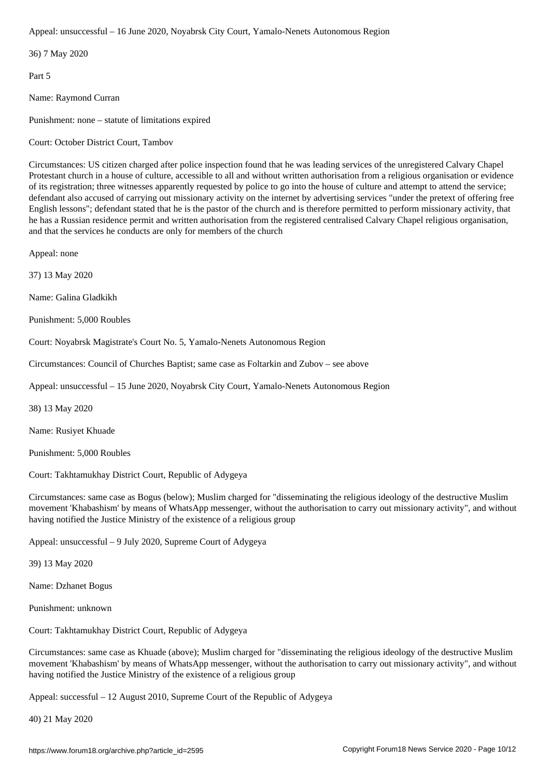36) 7 May 2020

Part 5

Name: Raymond Curran

Punishment: none – statute of limitations expired

Court: October District Court, Tambov

Circumstances: US citizen charged after police inspection found that he was leading services of the unregistered Calvary Chapel Protestant church in a house of culture, accessible to all and without written authorisation from a religious organisation or evidence of its registration; three witnesses apparently requested by police to go into the house of culture and attempt to attend the service; defendant also accused of carrying out missionary activity on the internet by advertising services "under the pretext of offering free English lessons"; defendant stated that he is the pastor of the church and is therefore permitted to perform missionary activity, that he has a Russian residence permit and written authorisation from the registered centralised Calvary Chapel religious organisation, and that the services he conducts are only for members of the church

Appeal: none

37) 13 May 2020

Name: Galina Gladkikh

Punishment: 5,000 Roubles

Court: Noyabrsk Magistrate's Court No. 5, Yamalo-Nenets Autonomous Region

Circumstances: Council of Churches Baptist; same case as Foltarkin and Zubov – see above

Appeal: unsuccessful – 15 June 2020, Noyabrsk City Court, Yamalo-Nenets Autonomous Region

38) 13 May 2020

Name: Rusiyet Khuade

Punishment: 5,000 Roubles

Court: Takhtamukhay District Court, Republic of Adygeya

Circumstances: same case as Bogus (below); Muslim charged for "disseminating the religious ideology of the destructive Muslim movement 'Khabashism' by means of WhatsApp messenger, without the authorisation to carry out missionary activity", and without having notified the Justice Ministry of the existence of a religious group

Appeal: unsuccessful – 9 July 2020, Supreme Court of Adygeya

39) 13 May 2020

Name: Dzhanet Bogus

Punishment: unknown

Court: Takhtamukhay District Court, Republic of Adygeya

Circumstances: same case as Khuade (above); Muslim charged for "disseminating the religious ideology of the destructive Muslim movement 'Khabashism' by means of WhatsApp messenger, without the authorisation to carry out missionary activity", and without having notified the Justice Ministry of the existence of a religious group

Appeal: successful – 12 August 2010, Supreme Court of the Republic of Adygeya

40) 21 May 2020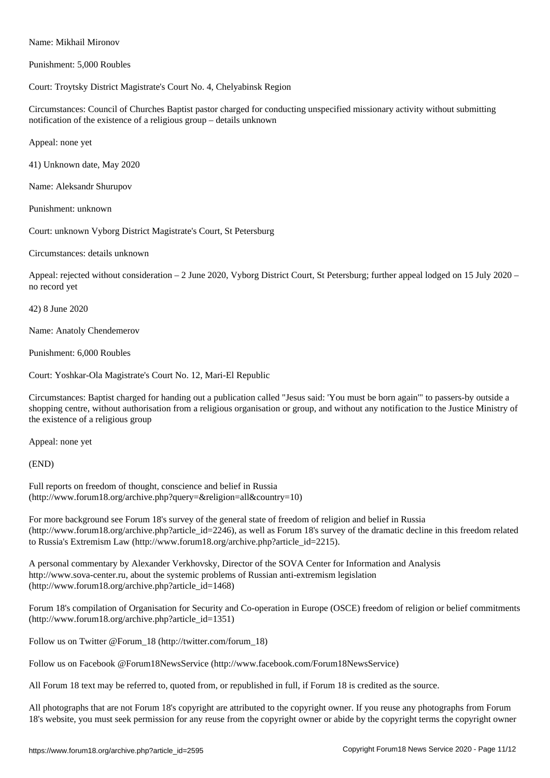Punishment: 5,000 Roubles

## Court: Troytsky District Magistrate's Court No. 4, Chelyabinsk Region

Circumstances: Council of Churches Baptist pastor charged for conducting unspecified missionary activity without submitting notification of the existence of a religious group – details unknown

Appeal: none yet

41) Unknown date, May 2020

Name: Aleksandr Shurupov

Punishment: unknown

Court: unknown Vyborg District Magistrate's Court, St Petersburg

Circumstances: details unknown

Appeal: rejected without consideration – 2 June 2020, Vyborg District Court, St Petersburg; further appeal lodged on 15 July 2020 – no record yet

42) 8 June 2020

Name: Anatoly Chendemerov

Punishment: 6,000 Roubles

Court: Yoshkar-Ola Magistrate's Court No. 12, Mari-El Republic

Circumstances: Baptist charged for handing out a publication called "Jesus said: 'You must be born again'" to passers-by outside a shopping centre, without authorisation from a religious organisation or group, and without any notification to the Justice Ministry of the existence of a religious group

Appeal: none yet

(END)

Full reports on freedom of thought, conscience and belief in Russia (http://www.forum18.org/archive.php?query=&religion=all&country=10)

For more background see Forum 18's survey of the general state of freedom of religion and belief in Russia (http://www.forum18.org/archive.php?article\_id=2246), as well as Forum 18's survey of the dramatic decline in this freedom related to Russia's Extremism Law (http://www.forum18.org/archive.php?article\_id=2215).

A personal commentary by Alexander Verkhovsky, Director of the SOVA Center for Information and Analysis http://www.sova-center.ru, about the systemic problems of Russian anti-extremism legislation (http://www.forum18.org/archive.php?article\_id=1468)

Forum 18's compilation of Organisation for Security and Co-operation in Europe (OSCE) freedom of religion or belief commitments (http://www.forum18.org/archive.php?article\_id=1351)

Follow us on Twitter @Forum\_18 (http://twitter.com/forum\_18)

Follow us on Facebook @Forum18NewsService (http://www.facebook.com/Forum18NewsService)

All Forum 18 text may be referred to, quoted from, or republished in full, if Forum 18 is credited as the source.

All photographs that are not Forum 18's copyright are attributed to the copyright owner. If you reuse any photographs from Forum 18's website, you must seek permission for any reuse from the copyright owner or abide by the copyright terms the copyright owner